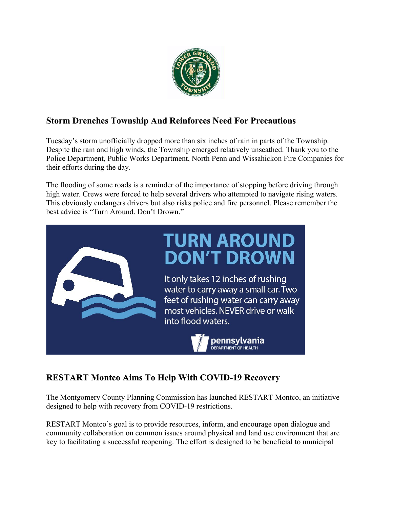

# **Storm Drenches Township And Reinforces Need For Precautions**

Tuesday's storm unofficially dropped more than six inches of rain in parts of the Township. Despite the rain and high winds, the Township emerged relatively unscathed. Thank you to the Police Department, Public Works Department, North Penn and Wissahickon Fire Companies for their efforts during the day.

The flooding of some roads is a reminder of the importance of stopping before driving through high water. Crews were forced to help several drivers who attempted to navigate rising waters. This obviously endangers drivers but also risks police and fire personnel. Please remember the best advice is "Turn Around. Don't Drown."



# **RESTART Montco Aims To Help With COVID-19 Recovery**

The Montgomery County Planning Commission has launched RESTART Montco, an initiative designed to help with recovery from COVID-19 restrictions.

RESTART Montco's goal is to provide resources, inform, and encourage open dialogue and community collaboration on common issues around physical and land use environment that are key to facilitating a successful reopening. The effort is designed to be beneficial to municipal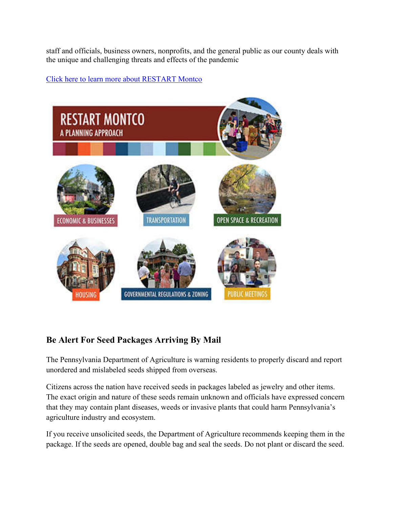staff and officials, business owners, nonprofits, and the general public as our county deals with the unique and challenging threats and effects of the pandemic

#### [Click here to learn more about RESTART Montco](https://www.montcopa.org/3529/Restart-Montco?fbclid=IwAR0sG50L5njBs1tVcDbsK-8tBn841VFn7T0Ex5ozVOJYHUgS9HQi_QnnJ0g)



## **Be Alert For Seed Packages Arriving By Mail**

The Pennsylvania Department of Agriculture is warning residents to properly discard and report unordered and mislabeled seeds shipped from overseas.

Citizens across the nation have received seeds in packages labeled as jewelry and other items. The exact origin and nature of these seeds remain unknown and officials have expressed concern that they may contain plant diseases, weeds or invasive plants that could harm Pennsylvania's agriculture industry and ecosystem.

If you receive unsolicited seeds, the Department of Agriculture recommends keeping them in the package. If the seeds are opened, double bag and seal the seeds. Do not plant or discard the seed.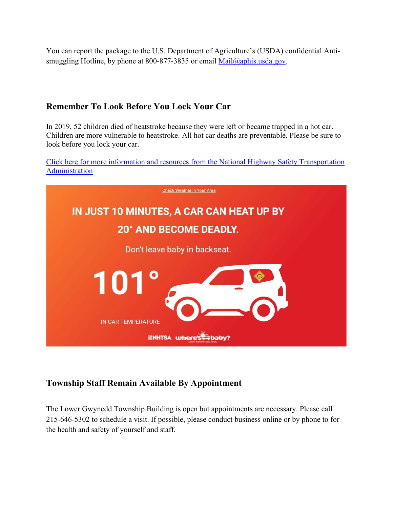You can report the package to the U.S. Department of Agriculture's (USDA) confidential Anti-smuggling Hotline, by phone at 800-877-3835 or email [Mail@aphis.usda.gov.](mailto:Mail@aphis.usda.gov)

### **Remember To Look Before You Lock Your Car**

In 2019, 52 children died of heatstroke because they were left or became trapped in a hot car. Children are more vulnerable to heatstroke. All hot car deaths are preventable. Please be sure to look before you lock your car.

[Click here for more information and resources from the National Highway Safety Transportation](https://www.nhtsa.gov/campaign/heatstroke?fbclid=IwAR1bk4Ac1ymAiKGJUu77iAcqI3bn7t2dtzAThMTJ8qov0RDUH0Cr9gaYdaU)  [Administration](https://www.nhtsa.gov/campaign/heatstroke?fbclid=IwAR1bk4Ac1ymAiKGJUu77iAcqI3bn7t2dtzAThMTJ8qov0RDUH0Cr9gaYdaU) 



## **Township Staff Remain Available By Appointment**

The Lower Gwynedd Township Building is open but appointments are necessary. Please call 215-646-5302 to schedule a visit. If possible, please conduct business online or by phone to for the health and safety of yourself and staff.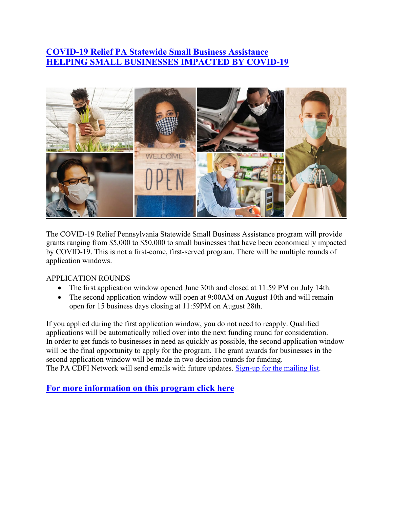# **[COVID-19 Relief PA Statewide Small Business Assistance](https://pabusinessgrants.com/?utm_source=newsletter&utm_medium=email&utm_content=Various%20pictures%20of%20business%20owners%20wearing%20masks.&utm_campaign=COVID-19%20Small%20Business%20Grants) [HELPING SMALL BUSINESSES IMPACTED BY COVID-19](https://pabusinessgrants.com/?utm_source=newsletter&utm_medium=email&utm_content=Various%20pictures%20of%20business%20owners%20wearing%20masks.&utm_campaign=COVID-19%20Small%20Business%20Grants)**



The COVID-19 Relief Pennsylvania Statewide Small Business Assistance program will provide grants ranging from \$5,000 to \$50,000 to small businesses that have been economically impacted by COVID-19. This is not a first-come, first-served program. There will be multiple rounds of application windows.

APPLICATION ROUNDS

- The first application window opened June 30th and closed at 11:59 PM on July 14th.
- The second application window will open at 9:00AM on August 10th and will remain open for 15 business days closing at 11:59PM on August 28th.

If you applied during the first application window, you do not need to reapply. Qualified applications will be automatically rolled over into the next funding round for consideration. In order to get funds to businesses in need as quickly as possible, the second application window will be the final opportunity to apply for the program. The grant awards for businesses in the second application window will be made in two decision rounds for funding. The PA CDFI Network will send emails with future updates. [Sign-up for the mailing list.](https://docs.google.com/forms/d/e/1FAIpQLSfximN3WPL4dlpvn5_UB18AyUKHqeQ5-EQ7e_hWWDoV2NqmGw/viewform)

**[For more information on this program click here](https://pabusinessgrants.com/?utm_source=newsletter&utm_medium=email&utm_content=Various%20pictures%20of%20business%20owners%20wearing%20masks.&utm_campaign=COVID-19%20Small%20Business%20Grants)**